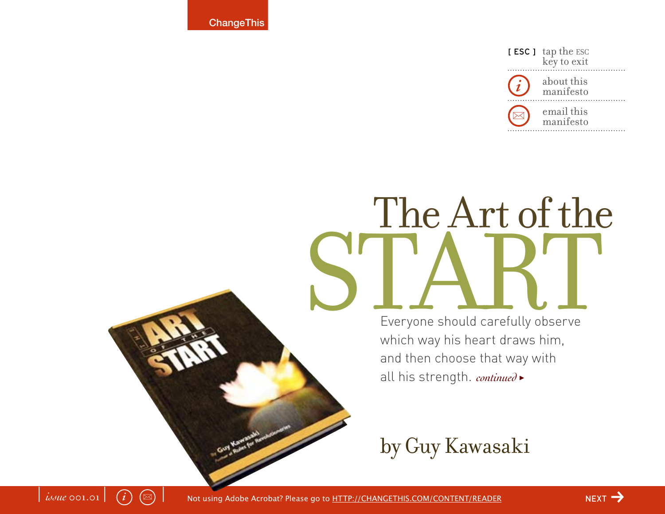| <b>[ESC ]</b> tap the ESC<br>key to exit |
|------------------------------------------|
| about this<br>manifesto                  |
| email this<br>manifesto                  |

# The Art of the START EVERY OF LIN (EEC) III He second<br>
Comparison<br>
Contained Contained Contained Contained Contained Contained Contained Contained Contained Contained Contained Contained Contained Contained Contained Contained Contained Contained Contained

Everyone should carefully observe which way his heart draws him, and then choose that way with all his strength. *continued* <sup>&</sup>gt;

by Guy Kawasaki

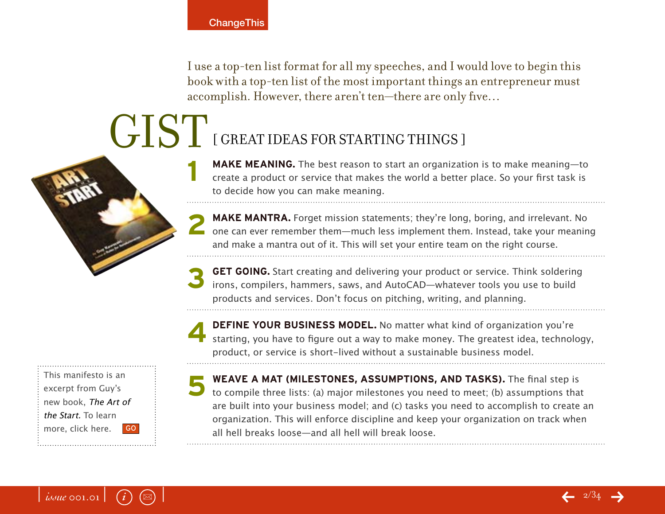I use a top-ten list format for all my speeches, and I would love to begin this book with a top-ten list of the most important things an entrepreneur must accomplish. However, there aren't ten—there are only five…

# **[ GREAT IDEAS FOR STARTING THINGS ]** GIST



**2 MAKE MANTRA.** Forget mission statements; they're long, boring, and irrelevant. No one can ever remember them—much less implement them. Instead, take your meaning and make a mantra out of it. This will set your entire team on the right course.

**3 GET GOING.** Start creating and delivering your product or service. Think soldering irons, compilers, hammers, saws, and AutoCAD—whatever tools you use to build products and services. Don't focus on pitching, writing, and planning.



**5 WEAVE A MAT (MILESTONES, ASSUMPTIONS, AND TASKS).** The final step is to compile three lists: (a) major milestones you need to meet; (b) assumptions that are built into your business model; and (c) tasks you need to accomplish to create an organization. This will enforce discipline and keep your organization on track when all hell breaks loose—and all hell will break loose.



 $\leftarrow$   $2/34$   $\rightarrow$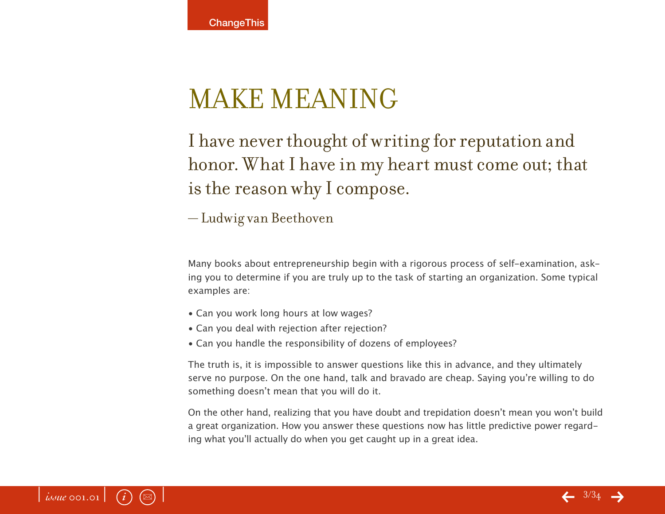# MAKE MEANING

I have never thought of writing for reputation and honor. What I have in my heart must come out; that is the reason why I compose.

— Ludwig van Beethoven

Many books about entrepreneurship begin with a rigorous process of self-examination, asking you to determine if you are truly up to the task of starting an organization. Some typical examples are:

- Can you work long hours at low wages?
- Can you deal with rejection after rejection?
- Can you handle the responsibility of dozens of employees?

The truth is, it is impossible to answer questions like this in advance, and they ultimately serve no purpose. On the one hand, talk and bravado are cheap. Saying you're willing to do something doesn't mean that you will do it.

On the other hand, realizing that you have doubt and trepidation doesn't mean you won't build a great organization. How you answer these questions now has little predictive power regarding what you'll actually do when you get caught up in a great idea.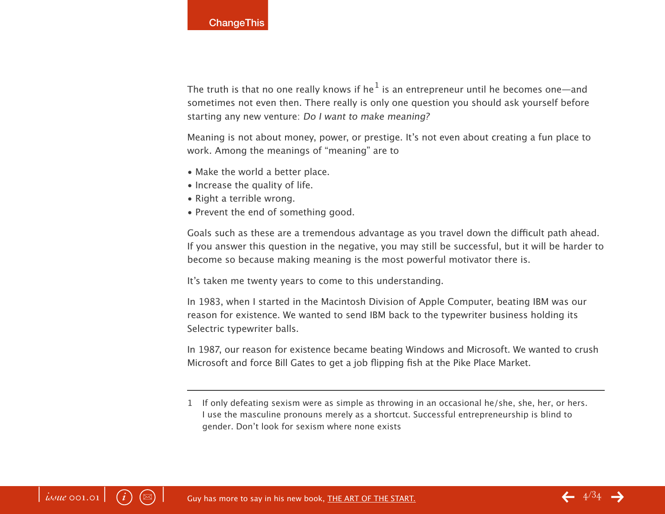The truth is that no one really knows if he $^1$  is an entrepreneur until he becomes one—and sometimes not even then. There really is only one question you should ask yourself before starting any new venture: Do I want to make meaning?

Meaning is not about money, power, or prestige. It's not even about creating a fun place to work. Among the meanings of "meaning" are to

- Make the world a better place.
- Increase the quality of life.
- Right a terrible wrong.
- Prevent the end of something good.

Goals such as these are a tremendous advantage as you travel down the difficult path ahead. If you answer this question in the negative, you may still be successful, but it will be harder to become so because making meaning is the most powerful motivator there is.

It's taken me twenty years to come to this understanding.

In 1983, when I started in the Macintosh Division of Apple Computer, beating IBM was our reason for existence. We wanted to send IBM back to the typewriter business holding its Selectric typewriter balls.

In 1987, our reason for existence became beating Windows and Microsoft. We wanted to crush Microsoft and force Bill Gates to get a job flipping fish at the Pike Place Market.

 $i$ *issue* 001.01

<sup>1</sup> If only defeating sexism were as simple as throwing in an occasional he/she, she, her, or hers. I use the masculine pronouns merely as a shortcut. Successful entrepreneurship is blind to gender. Don't look for sexism where none exists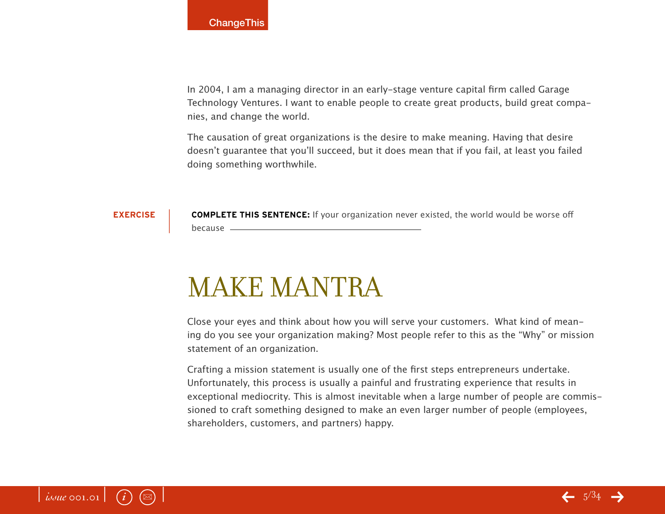In 2004, I am a managing director in an early-stage venture capital firm called Garage Technology Ventures. I want to enable people to create great products, build great companies, and change the world.

The causation of great organizations is the desire to make meaning. Having that desire doesn't guarantee that you'll succeed, but it does mean that if you fail, at least you failed doing something worthwhile.

**EXERCISE** | **COMPLETE THIS SENTENCE:** If your organization never existed, the world would be worse off because

# MAKE MANTRA

Close your eyes and think about how you will serve your customers. What kind of meaning do you see your organization making? Most people refer to this as the "Why" or mission statement of an organization.

Crafting a mission statement is usually one of the first steps entrepreneurs undertake. Unfortunately, this process is usually a painful and frustrating experience that results in exceptional mediocrity. This is almost inevitable when a large number of people are commissioned to craft something designed to make an even larger number of people (employees, shareholders, customers, and partners) happy.



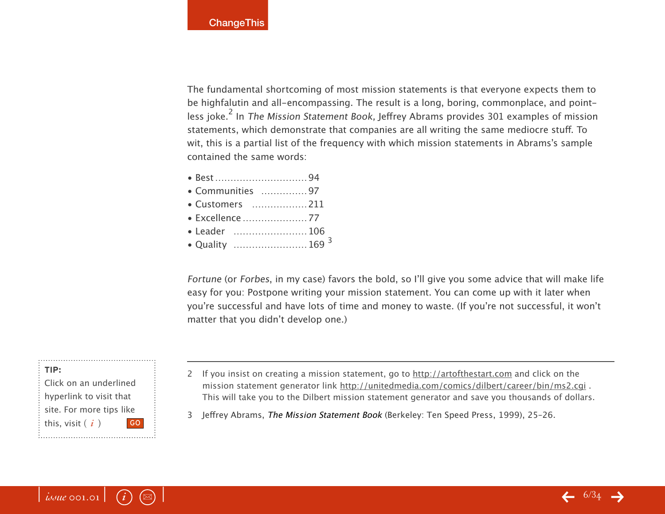The fundamental shortcoming of most mission statements is that everyone expects them to be highfalutin and all-encompassing. The result is a long, boring, commonplace, and pointless joke.<sup>2</sup> In The Mission Statement Book, Jeffrey Abrams provides 301 examples of mission statements, which demonstrate that companies are all writing the same mediocre stuff. To wit, this is a partial list of the frequency with which mission statements in Abrams's sample contained the same words:

- Best …………………………94
- Communities ……………97
- Customers ………………211
- Excellence …………………77
- Leader ……………………106
- Quality ……………………169 <sup>3</sup>

Fortune (or Forbes, in my case) favors the bold, so I'll give you some advice that will make life easy for you: Postpone writing your mission statement. You can come up with it later when you're successful and have lots of time and money to waste. (If you're not successful, it won't matter that you didn't develop one.)

### **TIP:**

Click on an underlined hyperlink to visit that site. For more tips like this, visit ( *i* ) GO

- 2 If you insist on creating a mission statement, go to <http://artofthestart.com>and click on the mission statement generator link <http://unitedmedia.com/comics/dilbert/career/bin/ms2.cgi> . This will take you to the Dilbert mission statement generator and save you thousands of dollars.
- 3 Jeffrey Abrams, The Mission Statement Book (Berkeley: Ten Speed Press, 1999), 25–26.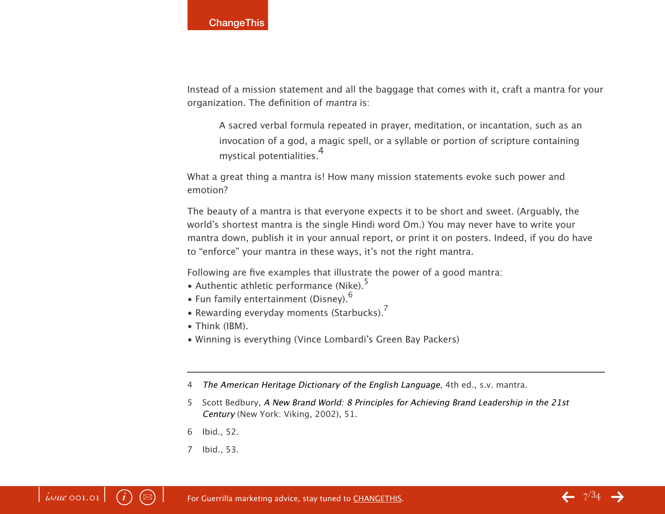Instead of a mission statement and all the baggage that comes with it, craft a mantra for your organization. The definition of mantra is:

A sacred verbal formula repeated in prayer, meditation, or incantation, such as an invocation of a god, a magic spell, or a syllable or portion of scripture containing mystical potentialities.4

What a great thing a mantra is! How many mission statements evoke such power and emotion?

The beauty of a mantra is that everyone expects it to be short and sweet. (Arguably, the world's shortest mantra is the single Hindi word Om.) You may never have to write your mantra down, publish it in your annual report, or print it on posters. Indeed, if you do have to "enforce" your mantra in these ways, it's not the right mantra.

Following are five examples that illustrate the power of a good mantra:

- Authentic athletic performance (Nike).<sup>5</sup>
- Fun family entertainment (Disney).  $6$
- Rewarding everyday moments (Starbucks).<sup>7</sup>
- Think (IBM).
- Winning is everything (Vince Lombardi's Green Bay Packers)
- 4 The American Heritage Dictionary of the English Language, 4th ed., s.v. mantra.
- 5 Scott Bedbury, A New Brand World: 8 Principles for Achieving Brand Leadership in the 21st Century (New York: Viking, 2002), 51.

 $\leftarrow$  7/3<sub>4</sub>  $\rightarrow$ 

- 6 Ibid., 52.
- 7 Ibid., 53.

 $i$ <sub>issue</sub> 001.01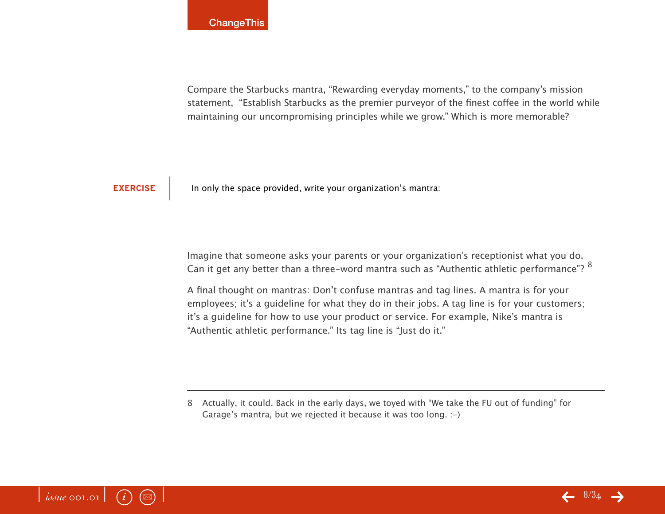Compare the Starbucks mantra, "Rewarding everyday moments," to the company's mission statement, "Establish Starbucks as the premier purveyor of the finest coffee in the world while maintaining our uncompromising principles while we grow." Which is more memorable?

# **EXERCISE**

In only the space provided, write your organization's mantra:

Imagine that someone asks your parents or your organization's receptionist what you do. Can it get any better than a three-word mantra such as "Authentic athletic performance"? <sup>8</sup>

A final thought on mantras: Don't confuse mantras and tag lines. A mantra is for your employees; it's a guideline for what they do in their jobs. A tag line is for your customers; it's a guideline for how to use your product or service. For example, Nike's mantra is "Authentic athletic performance." Its tag line is "Just do it."

8 Actually, it could. Back in the early days, we toyed with "We take the FU out of funding" for Garage's mantra, but we rejected it because it was too long. :-)

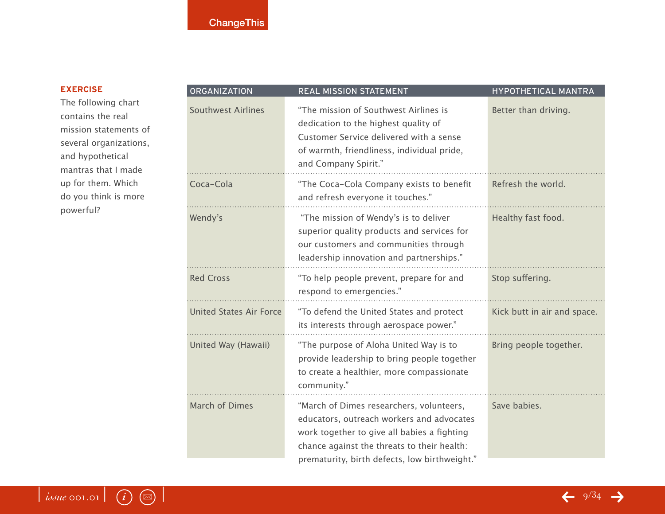| <b>EXERCISE</b>        |  |  |
|------------------------|--|--|
| The following chart    |  |  |
| contains the real      |  |  |
| mission statements of  |  |  |
| several organizations, |  |  |
| and hypothetical       |  |  |
| mantras that I made    |  |  |
| up for them. Which     |  |  |
| do you think is more   |  |  |
| powerful?              |  |  |

| <b>ORGANIZATION</b>            | <b>REAL MISSION STATEMENT</b>                                                                                                                                                                                                        | <b>HYPOTHETICAL MANTRA</b>  |
|--------------------------------|--------------------------------------------------------------------------------------------------------------------------------------------------------------------------------------------------------------------------------------|-----------------------------|
| <b>Southwest Airlines</b>      | "The mission of Southwest Airlines is<br>dedication to the highest quality of<br>Customer Service delivered with a sense<br>of warmth, friendliness, individual pride,<br>and Company Spirit."                                       | Better than driving.        |
| Coca-Cola                      | "The Coca-Cola Company exists to benefit<br>and refresh everyone it touches."                                                                                                                                                        | Refresh the world.          |
| Wendy's                        | "The mission of Wendy's is to deliver<br>superior quality products and services for<br>our customers and communities through<br>leadership innovation and partnerships."                                                             | Healthy fast food.          |
| <b>Red Cross</b>               | "To help people prevent, prepare for and<br>respond to emergencies."                                                                                                                                                                 | Stop suffering.             |
| <b>United States Air Force</b> | "To defend the United States and protect<br>its interests through aerospace power."                                                                                                                                                  | Kick butt in air and space. |
| United Way (Hawaii)            | "The purpose of Aloha United Way is to<br>provide leadership to bring people together<br>to create a healthier, more compassionate<br>community."                                                                                    | Bring people together.      |
| <b>March of Dimes</b>          | "March of Dimes researchers, volunteers,<br>educators, outreach workers and advocates<br>work together to give all babies a fighting<br>chance against the threats to their health:<br>prematurity, birth defects, low birthweight." | Save babies.                |

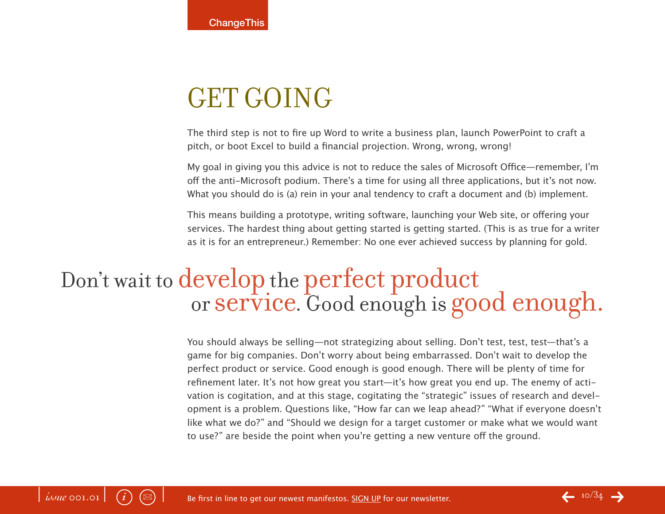# GET GOING

The third step is not to fire up Word to write a business plan, launch PowerPoint to craft a pitch, or boot Excel to build a financial projection. Wrong, wrong, wrong!

My goal in giving you this advice is not to reduce the sales of Microsoft Office—remember, I'm off the anti-Microsoft podium. There's a time for using all three applications, but it's not now. What you should do is (a) rein in your anal tendency to craft a document and (b) implement.

This means building a prototype, writing software, launching your Web site, or offering your services. The hardest thing about getting started is getting started. (This is as true for a writer as it is for an entrepreneur.) Remember: No one ever achieved success by planning for gold.

# Don't wait to develop the perfect product or service. Good enough is good enough.

You should always be selling—not strategizing about selling. Don't test, test, test—that's a game for big companies. Don't worry about being embarrassed. Don't wait to develop the perfect product or service. Good enough is good enough. There will be plenty of time for refinement later. It's not how great you start—it's how great you end up. The enemy of activation is cogitation, and at this stage, cogitating the "strategic" issues of research and development is a problem. Questions like, "How far can we leap ahead?" "What if everyone doesn't like what we do?" and "Should we design for a target customer or make what we would want to use?" are beside the point when you're getting a new venture off the ground.



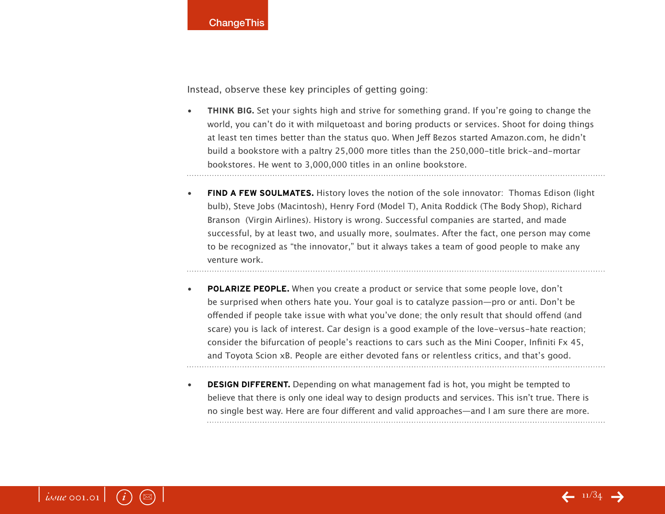

Instead, observe these key principles of getting going:

- **THINK BIG.** Set your sights high and strive for something grand. If you're going to change the world, you can't do it with milquetoast and boring products or services. Shoot for doing things at least ten times better than the status quo. When Jeff Bezos started Amazon.com, he didn't build a bookstore with a paltry 25,000 more titles than the 250,000-title brick-and-mortar bookstores. He went to 3,000,000 titles in an online bookstore.
- **FIND A FEW SOULMATES.** History loves the notion of the sole innovator: Thomas Edison (light bulb), Steve Jobs (Macintosh), Henry Ford (Model T), Anita Roddick (The Body Shop), Richard Branson (Virgin Airlines). History is wrong. Successful companies are started, and made successful, by at least two, and usually more, soulmates. After the fact, one person may come to be recognized as "the innovator," but it always takes a team of good people to make any venture work.
- **POLARIZE PEOPLE.** When you create a product or service that some people love, don't be surprised when others hate you. Your goal is to catalyze passion—pro or anti. Don't be offended if people take issue with what you've done; the only result that should offend (and scare) you is lack of interest. Car design is a good example of the love-versus-hate reaction; consider the bifurcation of people's reactions to cars such as the Mini Cooper, Infiniti Fx 45, and Toyota Scion xB. People are either devoted fans or relentless critics, and that's good.
- **DESIGN DIFFERENT.** Depending on what management fad is hot, you might be tempted to believe that there is only one ideal way to design products and services. This isn't true. There is no single best way. Here are four different and valid approaches—and I am sure there are more.

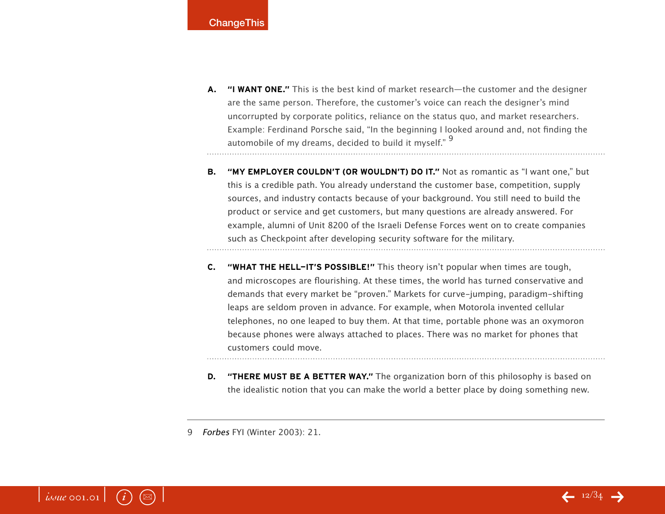- **A. "I WANT ONE."** This is the best kind of market research—the customer and the designer are the same person. Therefore, the customer's voice can reach the designer's mind uncorrupted by corporate politics, reliance on the status quo, and market researchers. Example: Ferdinand Porsche said, "In the beginning I looked around and, not finding the automobile of my dreams, decided to build it myself."<sup>9</sup>
- **B. "MY EMPLOYER COULDN'T (OR WOULDN'T) DO IT."** Not as romantic as "I want one," but this is a credible path. You already understand the customer base, competition, supply sources, and industry contacts because of your background. You still need to build the product or service and get customers, but many questions are already answered. For example, alumni of Unit 8200 of the Israeli Defense Forces went on to create companies such as Checkpoint after developing security software for the military.
- **C. "WHAT THE HELL—IT'S POSSIBLE!"** This theory isn't popular when times are tough, and microscopes are flourishing. At these times, the world has turned conservative and demands that every market be "proven." Markets for curve-jumping, paradigm-shifting leaps are seldom proven in advance. For example, when Motorola invented cellular telephones, no one leaped to buy them. At that time, portable phone was an oxymoron because phones were always attached to places. There was no market for phones that customers could move.
- **D. "THERE MUST BE A BETTER WAY."** The organization born of this philosophy is based on the idealistic notion that you can make the world a better place by doing something new.



<sup>9</sup> Forbes FYI (Winter 2003): 21.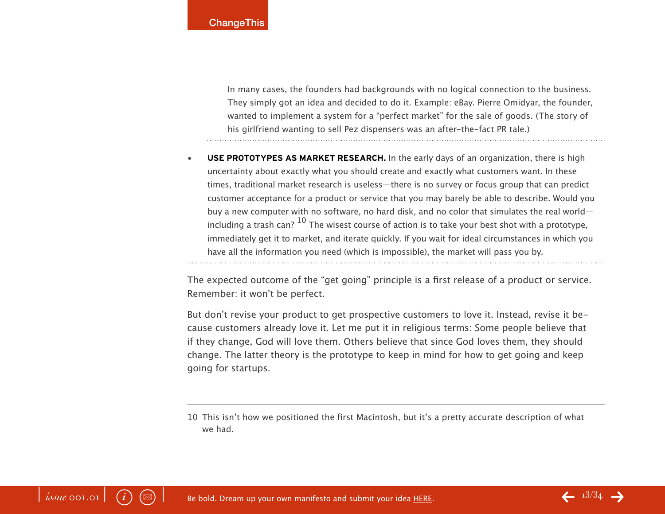In many cases, the founders had backgrounds with no logical connection to the business. They simply got an idea and decided to do it. Example: eBay. Pierre Omidyar, the founder, wanted to implement a system for a "perfect market" for the sale of goods. (The story of his girlfriend wanting to sell Pez dispensers was an after-the-fact PR tale.)

• **USE PROTOTYPES AS MARKET RESEARCH.** In the early days of an organization, there is high uncertainty about exactly what you should create and exactly what customers want. In these times, traditional market research is useless—there is no survey or focus group that can predict customer acceptance for a product or service that you may barely be able to describe. Would you buy a new computer with no software, no hard disk, and no color that simulates the real world including a trash can?  $^{10}$  The wisest course of action is to take your best shot with a prototype, immediately get it to market, and iterate quickly. If you wait for ideal circumstances in which you have all the information you need (which is impossible), the market will pass you by.

The expected outcome of the "get going" principle is a first release of a product or service. Remember: it won't be perfect.

But don't revise your product to get prospective customers to love it. Instead, revise it because customers already love it. Let me put it in religious terms: Some people believe that if they change, God will love them. Others believe that since God loves them, they should change. The latter theory is the prototype to keep in mind for how to get going and keep going for startups.

<sup>10</sup> This isn't how we positioned the first Macintosh, but it's a pretty accurate description of what we had.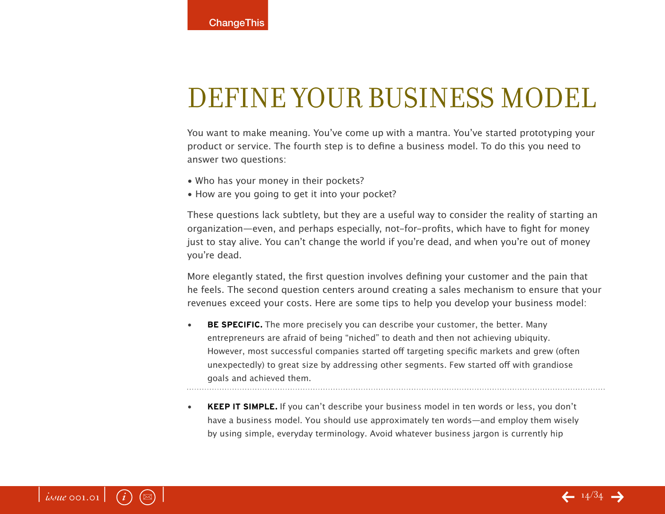# DEFINE YOUR BUSINESS MODEL

You want to make meaning. You've come up with a mantra. You've started prototyping your product or service. The fourth step is to define a business model. To do this you need to answer two questions:

- Who has your money in their pockets?
- How are you going to get it into your pocket?

These questions lack subtlety, but they are a useful way to consider the reality of starting an organization—even, and perhaps especially, not-for-profits, which have to fight for money just to stay alive. You can't change the world if you're dead, and when you're out of money you're dead.

More elegantly stated, the first question involves defining your customer and the pain that he feels. The second question centers around creating a sales mechanism to ensure that your revenues exceed your costs. Here are some tips to help you develop your business model:

- **BE SPECIFIC.** The more precisely you can describe your customer, the better. Many entrepreneurs are afraid of being "niched" to death and then not achieving ubiquity. However, most successful companies started off targeting specific markets and grew (often unexpectedly) to great size by addressing other segments. Few started off with grandiose goals and achieved them.
- **KEEP IT SIMPLE.** If you can't describe your business model in ten words or less, you don't have a business model. You should use approximately ten words—and employ them wisely by using simple, everyday terminology. Avoid whatever business jargon is currently hip

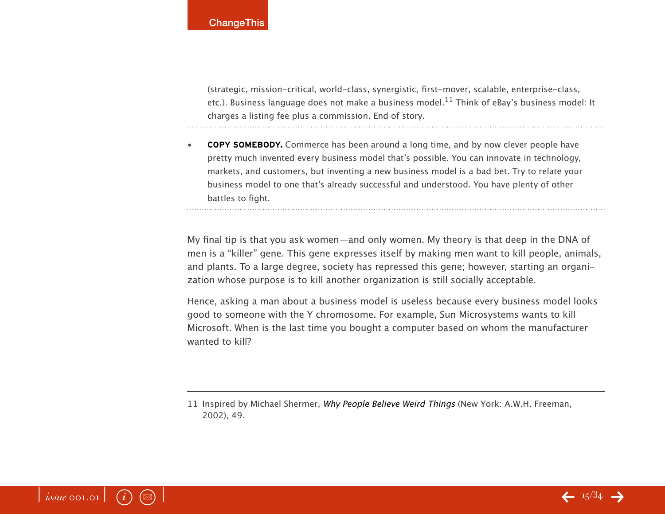(strategic, mission-critical, world-class, synergistic, first-mover, scalable, enterprise-class, etc.). Business language does not make a business model.<sup>11</sup> Think of eBay's business model: It charges a listing fee plus a commission. End of story.

• **COPY SOMEBODY.** Commerce has been around a long time, and by now clever people have pretty much invented every business model that's possible. You can innovate in technology, markets, and customers, but inventing a new business model is a bad bet. Try to relate your business model to one that's already successful and understood. You have plenty of other battles to fight.

My final tip is that you ask women—and only women. My theory is that deep in the DNA of men is a "killer" gene. This gene expresses itself by making men want to kill people, animals, and plants. To a large degree, society has repressed this gene; however, starting an organization whose purpose is to kill another organization is still socially acceptable.

Hence, asking a man about a business model is useless because every business model looks good to someone with the Y chromosome. For example, Sun Microsystems wants to kill Microsoft. When is the last time you bought a computer based on whom the manufacturer wanted to kill?





<sup>11</sup> Inspired by Michael Shermer, Why People Believe Weird Things (New York: A.W.H. Freeman, 2002), 49.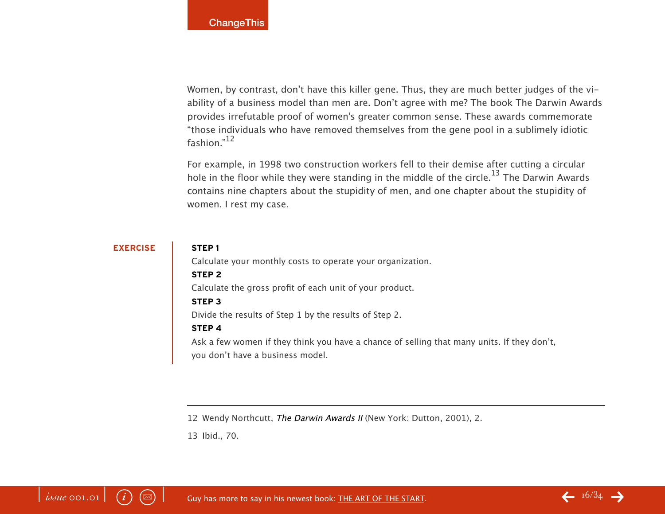Women, by contrast, don't have this killer gene. Thus, they are much better judges of the viability of a business model than men are. Don't agree with me? The book The Darwin Awards provides irrefutable proof of women's greater common sense. These awards commemorate "those individuals who have removed themselves from the gene pool in a sublimely idiotic fashion."12

For example, in 1998 two construction workers fell to their demise after cutting a circular hole in the floor while they were standing in the middle of the circle.<sup>13</sup> The Darwin Awards contains nine chapters about the stupidity of men, and one chapter about the stupidity of women. I rest my case.

### **EXERCISE STEP 1**

Calculate your monthly costs to operate your organization.

# **STEP 2**

Calculate the gross profit of each unit of your product.

## **STEP 3**

Divide the results of Step 1 by the results of Step 2.

### **STEP 4**

Ask a few women if they think you have a chance of selling that many units. If they don't, you don't have a business model.

12 Wendy Northcutt, The Darwin Awards II (New York: Dutton, 2001), 2.

13 Ibid., 70.



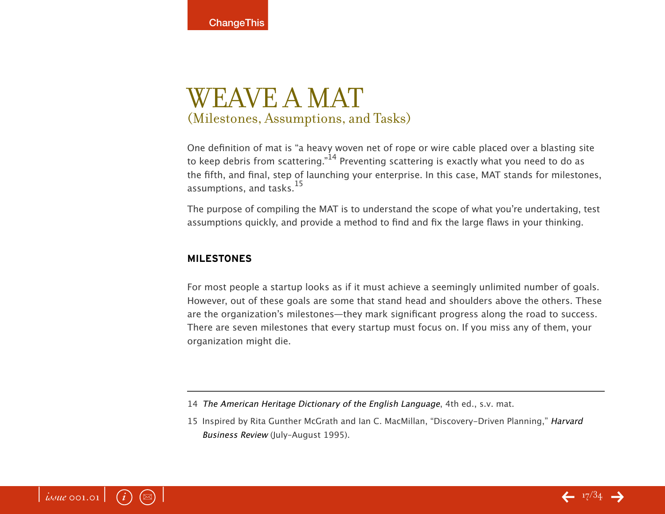# WEAVE A MAT (Milestones, Assumptions, and Tasks)

One definition of mat is "a heavy woven net of rope or wire cable placed over a blasting site to keep debris from scattering."<sup>14</sup> Preventing scattering is exactly what you need to do as the fifth, and final, step of launching your enterprise. In this case, MAT stands for milestones, assumptions, and tasks. $^{15}$ 

The purpose of compiling the MAT is to understand the scope of what you're undertaking, test assumptions quickly, and provide a method to find and fix the large flaws in your thinking.

# **MILESTONES**

For most people a startup looks as if it must achieve a seemingly unlimited number of goals. However, out of these goals are some that stand head and shoulders above the others. These are the organization's milestones—they mark significant progress along the road to success. There are seven milestones that every startup must focus on. If you miss any of them, your organization might die.





<sup>14</sup> The American Heritage Dictionary of the English Language, 4th ed., s.v. mat.

<sup>15</sup> Inspired by Rita Gunther McGrath and Ian C. MacMillan, "Discovery-Driven Planning," Harvard Business Review (July–August 1995).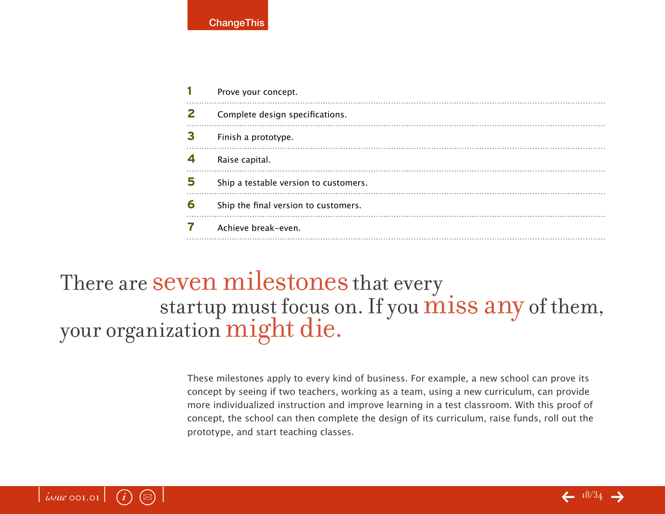| Prove your concept.                   |
|---------------------------------------|
| Complete design specifications.       |
| Finish a prototype.                   |
| Raise capital.                        |
| Ship a testable version to customers. |
| Ship the final version to customers.  |
| Achieve break-even.                   |

# There are seven milestones that every startup must focus on. If you miss any of them, your organization might die.

These milestones apply to every kind of business. For example, a new school can prove its concept by seeing if two teachers, working as a team, using a new curriculum, can provide more individualized instruction and improve learning in a test classroom. With this proof of concept, the school can then complete the design of its curriculum, raise funds, roll out the prototype, and start teaching classes.



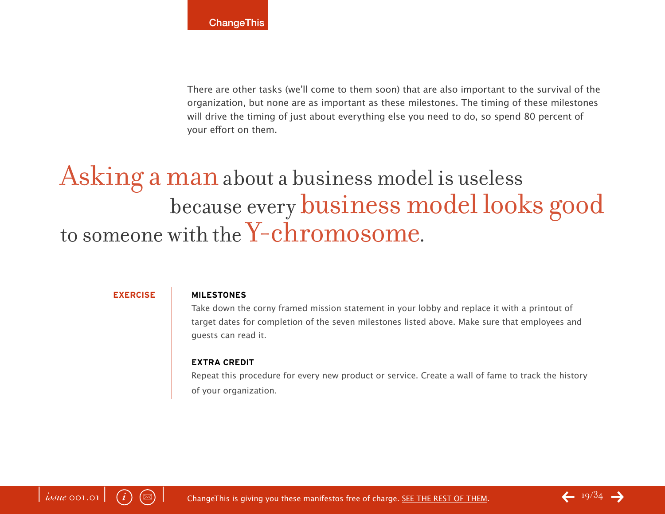There are other tasks (we'll come to them soon) that are also important to the survival of the organization, but none are as important as these milestones. The timing of these milestones will drive the timing of just about everything else you need to do, so spend 80 percent of your effort on them.

# Asking a man about a business model is useless because every business model looks good to someone with the Y-chromosome.

### **EXERCISE MILESTONES**

Take down the corny framed mission statement in your lobby and replace it with a printout of target dates for completion of the seven milestones listed above. Make sure that employees and guests can read it.

### **EXTRA CREDIT**

Repeat this procedure for every new product or service. Create a wall of fame to track the history of your organization.



 $\leftarrow$  19/34  $\rightarrow$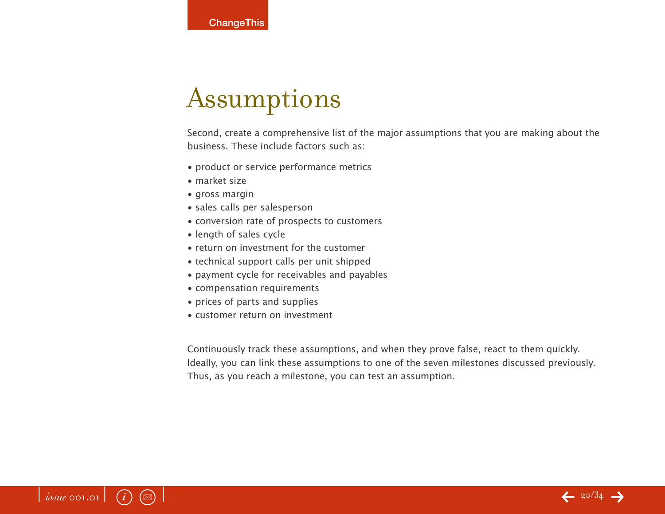# Assumptions

Second, create a comprehensive list of the major assumptions that you are making about the business. These include factors such as:

- product or service performance metrics
- market size
- gross margin
- sales calls per salesperson
- conversion rate of prospects to customers
- length of sales cycle
- return on investment for the customer
- technical support calls per unit shipped
- payment cycle for receivables and payables
- compensation requirements
- prices of parts and supplies
- customer return on investment

Continuously track these assumptions, and when they prove false, react to them quickly. Ideally, you can link these assumptions to one of the seven milestones discussed previously. Thus, as you reach a milestone, you can test an assumption.

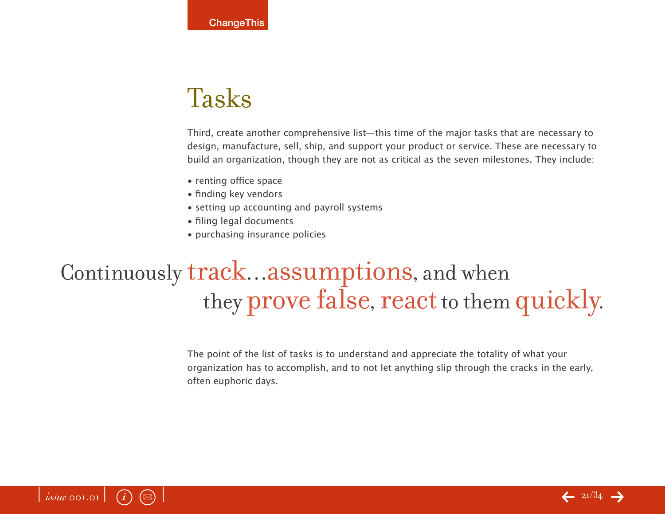# Tasks

Third, create another comprehensive list—this time of the major tasks that are necessary to design, manufacture, sell, ship, and support your product or service. These are necessary to build an organization, though they are not as critical as the seven milestones. They include:

- renting office space
- finding key vendors
- setting up accounting and payroll systems
- filing legal documents
- purchasing insurance policies

# Continuously track…assumptions, and when they prove false, react to them quickly.

The point of the list of tasks is to understand and appreciate the totality of what your organization has to accomplish, and to not let anything slip through the cracks in the early, often euphoric days.



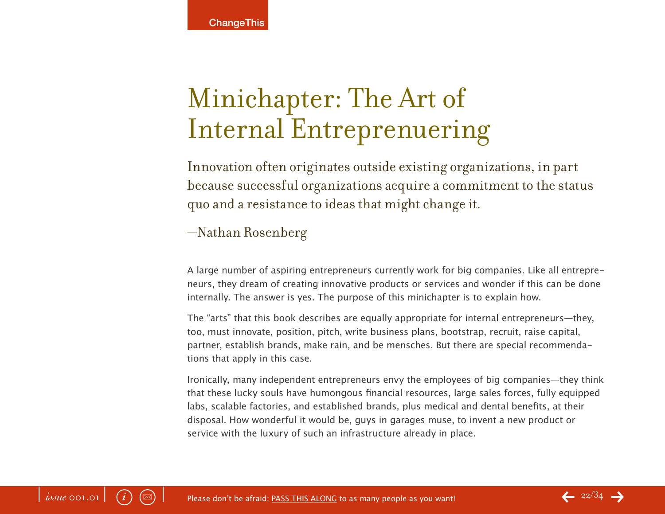# Minichapter: The Art of Internal Entreprenuering

Innovation often originates outside existing organizations, in part because successful organizations acquire a commitment to the status quo and a resistance to ideas that might change it.

—Nathan Rosenberg

A large number of aspiring entrepreneurs currently work for big companies. Like all entrepreneurs, they dream of creating innovative products or services and wonder if this can be done internally. The answer is yes. The purpose of this minichapter is to explain how.

The "arts" that this book describes are equally appropriate for internal entrepreneurs—they, too, must innovate, position, pitch, write business plans, bootstrap, recruit, raise capital, partner, establish brands, make rain, and be mensches. But there are special recommendations that apply in this case.

Ironically, many independent entrepreneurs envy the employees of big companies—they think that these lucky souls have humongous financial resources, large sales forces, fully equipped labs, scalable factories, and established brands, plus medical and dental benefits, at their disposal. How wonderful it would be, guys in garages muse, to invent a new product or service with the luxury of such an infrastructure already in place.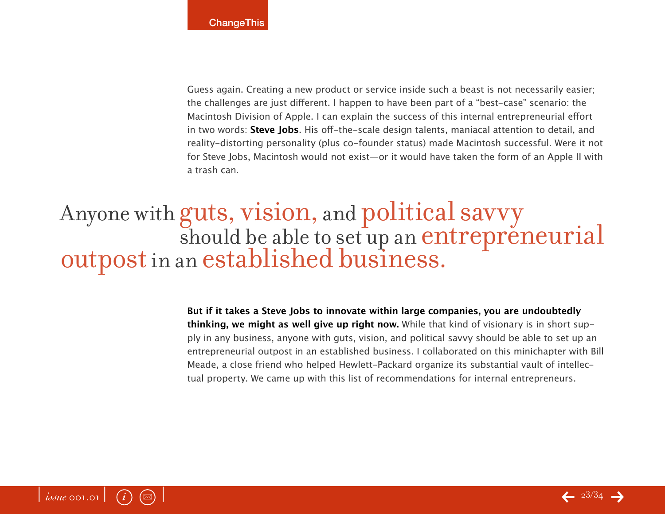Guess again. Creating a new product or service inside such a beast is not necessarily easier; the challenges are just different. I happen to have been part of a "best-case" scenario: the Macintosh Division of Apple. I can explain the success of this internal entrepreneurial effort in two words: **Steve Jobs**. His off-the-scale design talents, maniacal attention to detail, and reality-distorting personality (plus co-founder status) made Macintosh successful. Were it not for Steve Jobs, Macintosh would not exist—or it would have taken the form of an Apple II with a trash can.

# Anyone with  $guts$ , vision, and political savvy should be able to set up an entrepreneurial outpost in an established business.

**But if it takes a Steve Jobs to innovate within large companies, you are undoubtedly thinking, we might as well give up right now.** While that kind of visionary is in short supply in any business, anyone with guts, vision, and political savvy should be able to set up an entrepreneurial outpost in an established business. I collaborated on this minichapter with Bill Meade, a close friend who helped Hewlett-Packard organize its substantial vault of intellectual property. We came up with this list of recommendations for internal entrepreneurs.



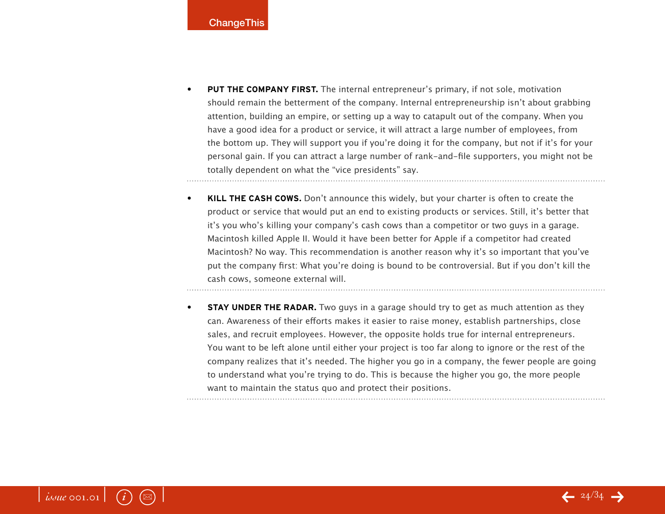- **PUT THE COMPANY FIRST.** The internal entrepreneur's primary, if not sole, motivation should remain the betterment of the company. Internal entrepreneurship isn't about grabbing attention, building an empire, or setting up a way to catapult out of the company. When you have a good idea for a product or service, it will attract a large number of employees, from the bottom up. They will support you if you're doing it for the company, but not if it's for your personal gain. If you can attract a large number of rank-and-file supporters, you might not be totally dependent on what the "vice presidents" say.
- **KILL THE CASH COWS.** Don't announce this widely, but your charter is often to create the product or service that would put an end to existing products or services. Still, it's better that it's you who's killing your company's cash cows than a competitor or two guys in a garage. Macintosh killed Apple II. Would it have been better for Apple if a competitor had created Macintosh? No way. This recommendation is another reason why it's so important that you've put the company first: What you're doing is bound to be controversial. But if you don't kill the cash cows, someone external will.
- **STAY UNDER THE RADAR.** Two guys in a garage should try to get as much attention as they can. Awareness of their efforts makes it easier to raise money, establish partnerships, close sales, and recruit employees. However, the opposite holds true for internal entrepreneurs. You want to be left alone until either your project is too far along to ignore or the rest of the company realizes that it's needed. The higher you go in a company, the fewer people are going to understand what you're trying to do. This is because the higher you go, the more people want to maintain the status quo and protect their positions.

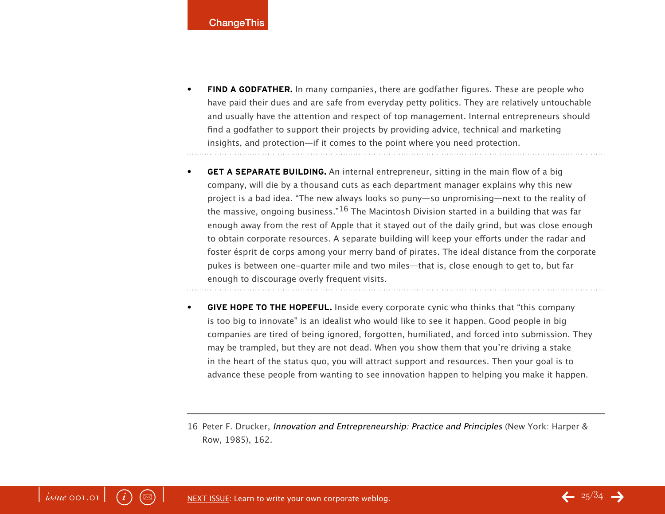- **FIND A GODFATHER.** In many companies, there are godfather figures. These are people who have paid their dues and are safe from everyday petty politics. They are relatively untouchable and usually have the attention and respect of top management. Internal entrepreneurs should find a godfather to support their projects by providing advice, technical and marketing insights, and protection—if it comes to the point where you need protection.
- **GET A SEPARATE BUILDING.** An internal entrepreneur, sitting in the main flow of a big company, will die by a thousand cuts as each department manager explains why this new project is a bad idea. "The new always looks so puny—so unpromising—next to the reality of the massive, ongoing business." $16$  The Macintosh Division started in a building that was far enough away from the rest of Apple that it stayed out of the daily grind, but was close enough to obtain corporate resources. A separate building will keep your efforts under the radar and foster ésprit de corps among your merry band of pirates. The ideal distance from the corporate pukes is between one-quarter mile and two miles—that is, close enough to get to, but far enough to discourage overly frequent visits.
- **GIVE HOPE TO THE HOPEFUL.** Inside every corporate cynic who thinks that "this company is too big to innovate" is an idealist who would like to see it happen. Good people in big companies are tired of being ignored, forgotten, humiliated, and forced into submission. They may be trampled, but they are not dead. When you show them that you're driving a stake in the heart of the status quo, you will attract support and resources. Then your goal is to advance these people from wanting to see innovation happen to helping you make it happen.

<sup>16</sup> Peter F. Drucker, Innovation and Entrepreneurship: Practice and Principles (New York: Harper & Row, 1985), 162.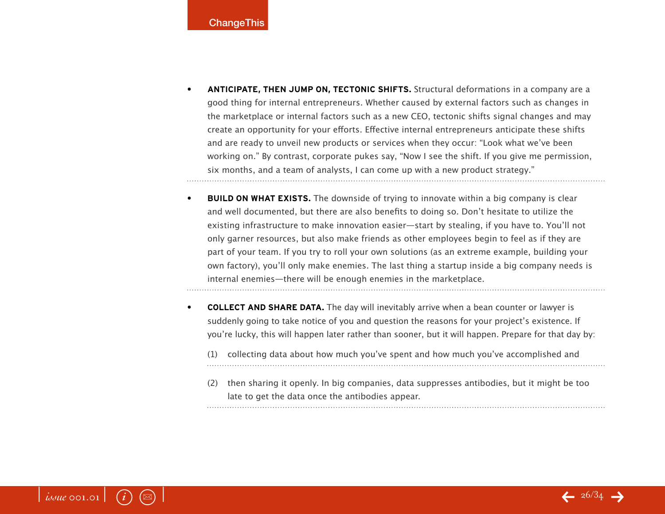- **ANTICIPATE, THEN JUMP ON, TECTONIC SHIFTS.** Structural deformations in a company are a good thing for internal entrepreneurs. Whether caused by external factors such as changes in the marketplace or internal factors such as a new CEO, tectonic shifts signal changes and may create an opportunity for your efforts. Effective internal entrepreneurs anticipate these shifts and are ready to unveil new products or services when they occur: "Look what we've been working on." By contrast, corporate pukes say, "Now I see the shift. If you give me permission, six months, and a team of analysts, I can come up with a new product strategy."
- **BUILD ON WHAT EXISTS.** The downside of trying to innovate within a big company is clear and well documented, but there are also benefits to doing so. Don't hesitate to utilize the existing infrastructure to make innovation easier—start by stealing, if you have to. You'll not only garner resources, but also make friends as other employees begin to feel as if they are part of your team. If you try to roll your own solutions (as an extreme example, building your own factory), you'll only make enemies. The last thing a startup inside a big company needs is internal enemies—there will be enough enemies in the marketplace.
- **COLLECT AND SHARE DATA.** The day will inevitably arrive when a bean counter or lawyer is suddenly going to take notice of you and question the reasons for your project's existence. If you're lucky, this will happen later rather than sooner, but it will happen. Prepare for that day by:
	- (1) collecting data about how much you've spent and how much you've accomplished and
	- (2) then sharing it openly. In big companies, data suppresses antibodies, but it might be too late to get the data once the antibodies appear.

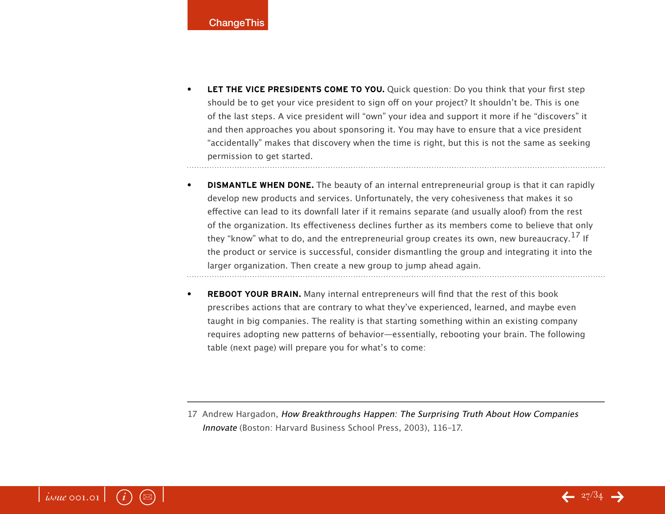- **LET THE VICE PRESIDENTS COME TO YOU.** Quick question: Do you think that your first step should be to get your vice president to sign off on your project? It shouldn't be. This is one of the last steps. A vice president will "own" your idea and support it more if he "discovers" it and then approaches you about sponsoring it. You may have to ensure that a vice president "accidentally" makes that discovery when the time is right, but this is not the same as seeking permission to get started.
- **DISMANTLE WHEN DONE.** The beauty of an internal entrepreneurial group is that it can rapidly develop new products and services. Unfortunately, the very cohesiveness that makes it so effective can lead to its downfall later if it remains separate (and usually aloof) from the rest of the organization. Its effectiveness declines further as its members come to believe that only they "know" what to do, and the entrepreneurial group creates its own, new bureaucracy.<sup>17</sup> If the product or service is successful, consider dismantling the group and integrating it into the larger organization. Then create a new group to jump ahead again.
- **REBOOT YOUR BRAIN.** Many internal entrepreneurs will find that the rest of this book prescribes actions that are contrary to what they've experienced, learned, and maybe even taught in big companies. The reality is that starting something within an existing company requires adopting new patterns of behavior—essentially, rebooting your brain. The following table (next page) will prepare you for what's to come:

17 Andrew Hargadon, How Breakthroughs Happen: The Surprising Truth About How Companies Innovate (Boston: Harvard Business School Press, 2003), 116–17.



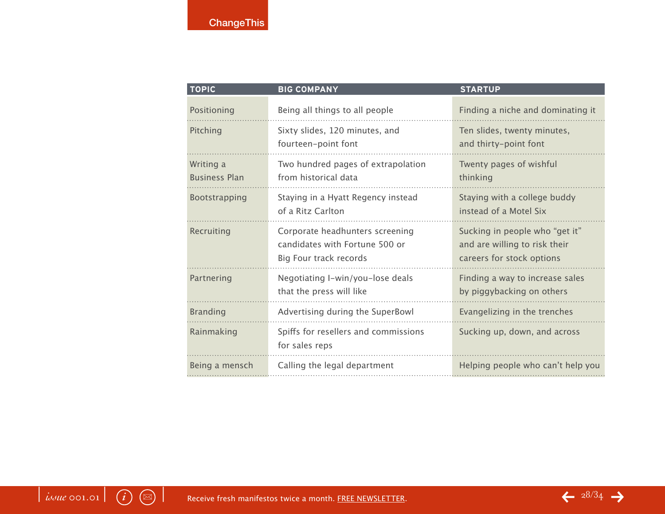| <b>TOPIC</b>                      | <b>BIG COMPANY</b>                                                                          | <b>STARTUP</b>                                                                               |  |
|-----------------------------------|---------------------------------------------------------------------------------------------|----------------------------------------------------------------------------------------------|--|
| Positioning                       | Being all things to all people                                                              | Finding a niche and dominating it                                                            |  |
| Pitching                          | Sixty slides, 120 minutes, and<br>fourteen-point font                                       | Ten slides, twenty minutes,<br>and thirty-point font                                         |  |
| Writing a<br><b>Business Plan</b> | Two hundred pages of extrapolation<br>from historical data                                  | Twenty pages of wishful<br>thinking                                                          |  |
| Bootstrapping                     | Staying in a Hyatt Regency instead<br>of a Ritz Carlton                                     | Staying with a college buddy<br>instead of a Motel Six                                       |  |
| Recruiting                        | Corporate headhunters screening<br>candidates with Fortune 500 or<br>Big Four track records | Sucking in people who "get it"<br>and are willing to risk their<br>careers for stock options |  |
| Partnering                        | Negotiating I-win/you-lose deals<br>that the press will like                                | Finding a way to increase sales<br>by piggybacking on others                                 |  |
| <b>Branding</b>                   | Advertising during the SuperBowl                                                            | Evangelizing in the trenches                                                                 |  |
| Rainmaking                        | Spiffs for resellers and commissions<br>for sales reps                                      | Sucking up, down, and across                                                                 |  |
| Being a mensch                    | Calling the legal department                                                                | Helping people who can't help you                                                            |  |

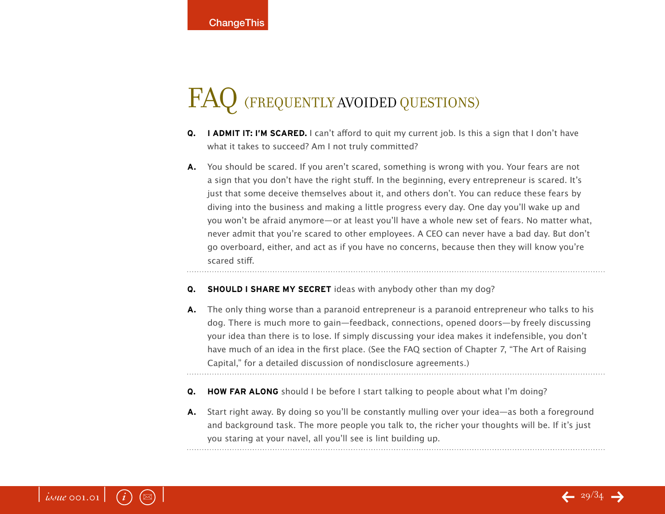# (FREQUENTLY AVOIDED QUESTIONS)

- **Q.** I ADMIT IT: I'M SCARED. I can't afford to quit my current job. Is this a sign that I don't have what it takes to succeed? Am I not truly committed?
- **A.** You should be scared. If you aren't scared, something is wrong with you. Your fears are not a sign that you don't have the right stuff. In the beginning, every entrepreneur is scared. It's just that some deceive themselves about it, and others don't. You can reduce these fears by diving into the business and making a little progress every day. One day you'll wake up and you won't be afraid anymore—or at least you'll have a whole new set of fears. No matter what, never admit that you're scared to other employees. A CEO can never have a bad day. But don't go overboard, either, and act as if you have no concerns, because then they will know you're scared stiff.
- **Q. SHOULD I SHARE MY SECRET** ideas with anybody other than my dog?
- **A.** The only thing worse than a paranoid entrepreneur is a paranoid entrepreneur who talks to his dog. There is much more to gain—feedback, connections, opened doors—by freely discussing your idea than there is to lose. If simply discussing your idea makes it indefensible, you don't have much of an idea in the first place. (See the FAQ section of Chapter 7, "The Art of Raising Capital," for a detailed discussion of nondisclosure agreements.)
- **Q.** HOW FAR ALONG should I be before I start talking to people about what I'm doing?
- **A.** Start right away. By doing so you'll be constantly mulling over your idea—as both a foreground and background task. The more people you talk to, the richer your thoughts will be. If it's just you staring at your navel, all you'll see is lint building up.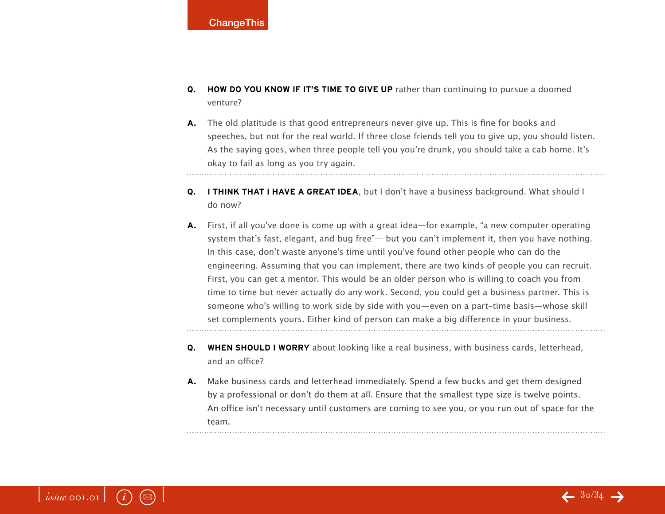- **Q. HOW DO YOU KNOW IF IT'S TIME TO GIVE UP** rather than continuing to pursue a doomed venture?
- **A.** The old platitude is that good entrepreneurs never give up. This is fine for books and speeches, but not for the real world. If three close friends tell you to give up, you should listen. As the saying goes, when three people tell you you're drunk, you should take a cab home. It's okay to fail as long as you try again.
- **Q. I THINK THAT I HAVE A GREAT IDEA**, but I don't have a business background. What should I do now?
- **A.** First, if all you've done is come up with a great idea—for example, "a new computer operating system that's fast, elegant, and bug free"— but you can't implement it, then you have nothing. In this case, don't waste anyone's time until you've found other people who can do the engineering. Assuming that you can implement, there are two kinds of people you can recruit. First, you can get a mentor. This would be an older person who is willing to coach you from time to time but never actually do any work. Second, you could get a business partner. This is someone who's willing to work side by side with you—even on a part-time basis—whose skill set complements yours. Either kind of person can make a big difference in your business.
- **Q.** WHEN SHOULD I WORRY about looking like a real business, with business cards, letterhead, and an office?
- **A.** Make business cards and letterhead immediately. Spend a few bucks and get them designed by a professional or don't do them at all. Ensure that the smallest type size is twelve points. An office isn't necessary until customers are coming to see you, or you run out of space for the team.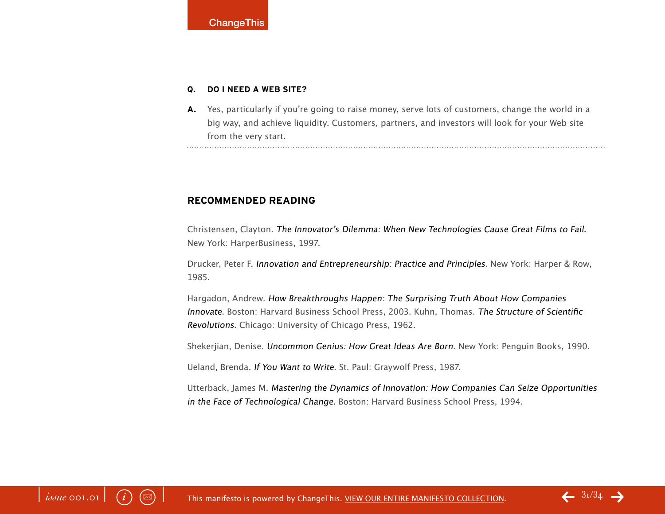### **Q. DO I NEED A WEB SITE?**

**A.** Yes, particularly if you're going to raise money, serve lots of customers, change the world in a big way, and achieve liquidity. Customers, partners, and investors will look for your Web site from the very start.

# **RECOMMENDED READING**

Christensen, Clayton. The Innovator's Dilemma: When New Technologies Cause Great Films to Fail. New York: HarperBusiness, 1997.

Drucker, Peter F. Innovation and Entrepreneurship: Practice and Principles. New York: Harper & Row, 1985.

Hargadon, Andrew. How Breakthroughs Happen: The Surprising Truth About How Companies Innovate. Boston: Harvard Business School Press, 2003. Kuhn, Thomas. The Structure of Scientific Revolutions. Chicago: University of Chicago Press, 1962.

Shekerjian, Denise. Uncommon Genius: How Great Ideas Are Born. New York: Penguin Books, 1990.

Ueland, Brenda. If You Want to Write. St. Paul: Graywolf Press, 1987.

Utterback, James M. Mastering the Dynamics of Innovation: How Companies Can Seize Opportunities in the Face of Technological Change. Boston: Harvard Business School Press, 1994.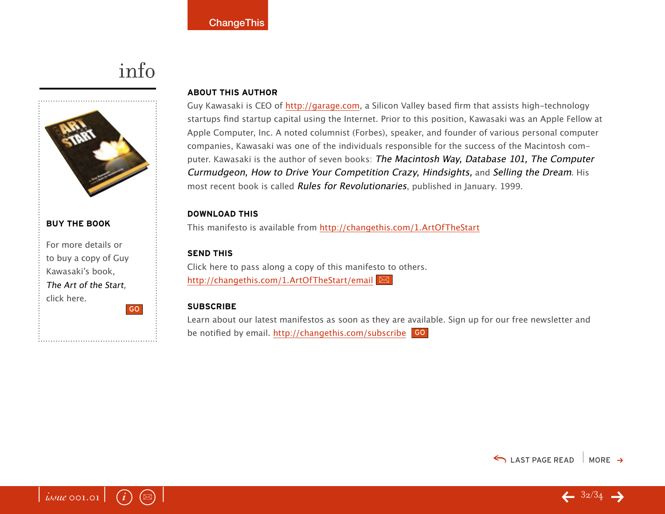# info



## **BUY THE BOOK**

For more details or to buy a copy of Guy Kawasaki's book, The Art of the Start, click here.

## **ABOUT THIS AUTHOR**

Guy Kawasaki is CEO of [http://garage.com,](http://garage.com) a Silicon Valley based firm that assists high-technology startups find startup capital using the Internet. Prior to this position, Kawasaki was an Apple Fellow at Apple Computer, Inc. A noted columnist (Forbes), speaker, and founder of various personal computer companies, Kawasaki was one of the individuals responsible for the success of the Macintosh computer. Kawasaki is the author of seven books: The Macintosh Way, Database 101, The Computer Curmudgeon, How to Drive Your Competition Crazy, Hindsights, and Selling the Dream. His most recent book is called *Rules for Revolutionaries*, published in January. 1999.

### **DOWNLOAD THIS**

This manifesto is available from <http://changethis.com/1.ArtOfTheStart>

### **SEND THIS**

Click here to pass along a copy of this manifesto to others. <http://changethis.com/1.ArtOfTheStart/email> <mark>区</mark>

### **SUBSCRIBE**

Learn about our latest manifestos as soon as they are available. Sign up for our free newsletter and be notified by email.<http://changethis.com/subscribe> GO GO<br>Learn about our latest manifestos as soon as they are avail<br>be notified by email. http://changethis.com/subscribe GO



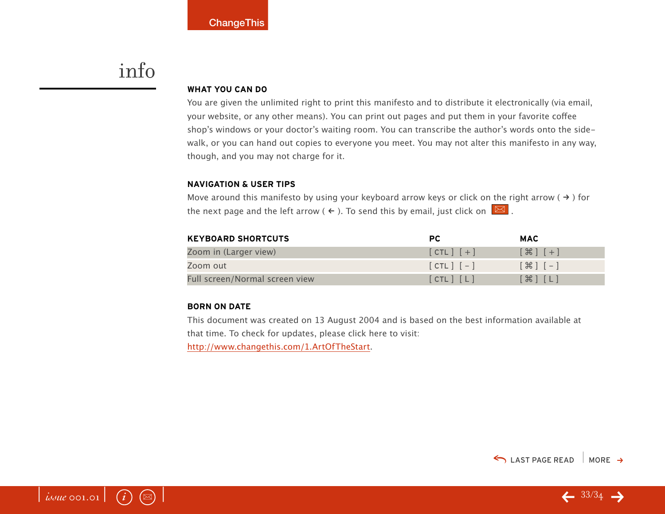# info

### **WHAT YOU CAN DO**

You are given the unlimited right to print this manifesto and to distribute it electronically (via email, your website, or any other means). You can print out pages and put them in your favorite coffee shop's windows or your doctor's waiting room. You can transcribe the author's words onto the sidewalk, or you can hand out copies to everyone you meet. You may not alter this manifesto in any way, though, and you may not charge for it.

### **NAVIGATION & USER TIPS**

Move around this manifesto by using your keyboard arrow keys or click on the right arrow ( $\rightarrow$ ) for the next page and the left arrow (  $\leftarrow$  ). To send this by email, just click on  $\boxed{\boxtimes}$  .

| <b>KEYBOARD SHORTCUTS</b>      | PC.           | <b>MAC</b>                           |
|--------------------------------|---------------|--------------------------------------|
| Zoom in (Larger view)          | $[CHL]$ $[+]$ | $[$ $\mathcal{H}$ $]$ $[$ $+$ $]$    |
| Zoom out                       | $[CIL]$ $[-]$ | $\lceil 36 \rceil$ $\lceil - \rceil$ |
| Full screen/Normal screen view | [CHL] [L]     | $[\mathcal{H}]$ $[L]$                |

### **BORN ON DATE**

This document was created on 13 August 2004 and is based on the best information available at that time. To check for updates, please click here to visit: [http://www.changethis.com/1.ArtOfTheStart.](http://www.changethis.com/1.ArtOfTheStart)